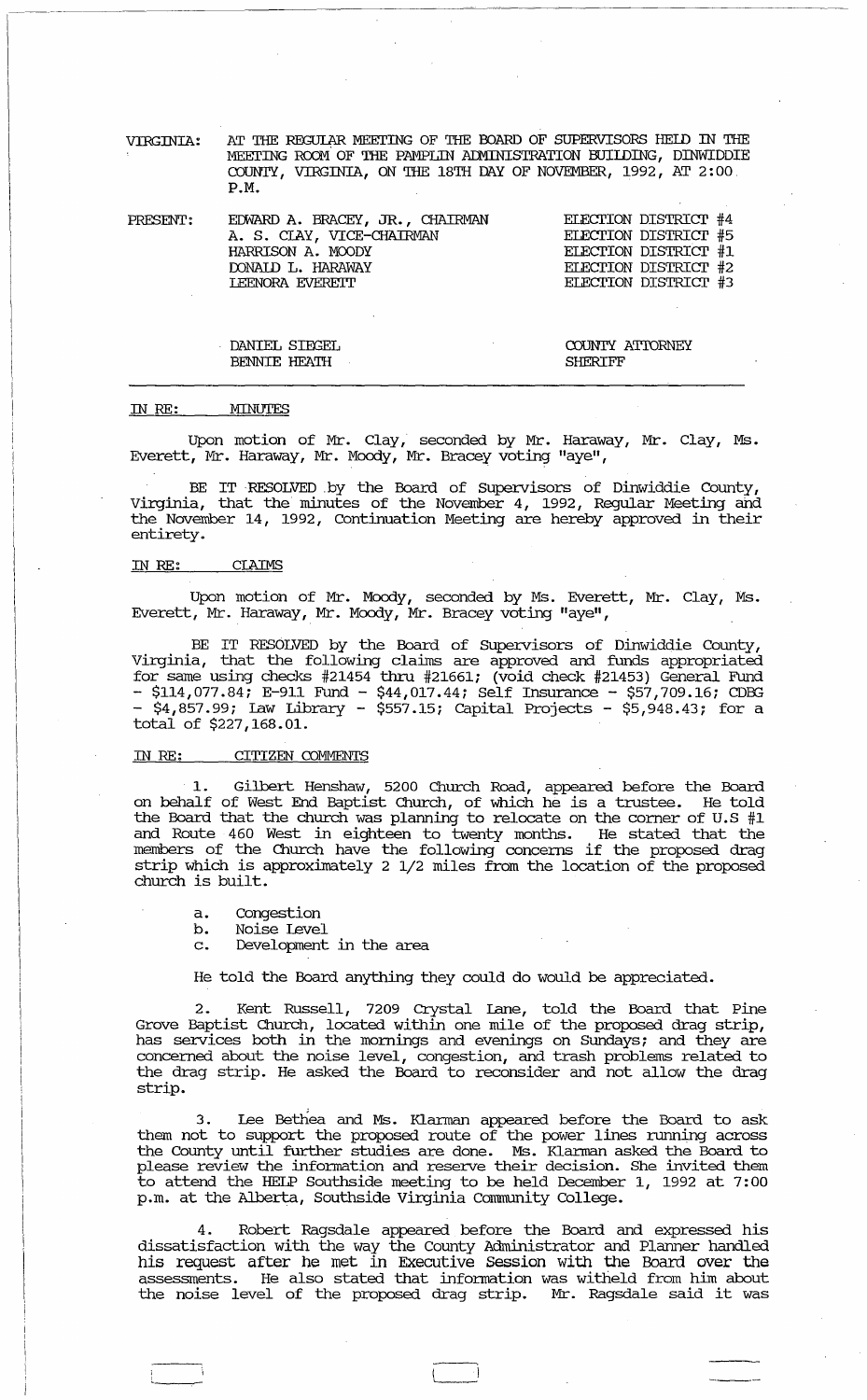VIRGINIA: AT THE REGUlAR MEEI'ING OF THE roARD OF SUPERVISORS HEID IN THE MEETING ROOM OF THE PAMPLIN ADMINISTRATION BUILDING, DINWIDDIE COUNTY, VIRGINIA, ON THE 18TH DAY OF NOVEMBER, 1992, AT 2: 00 P.M.

PRESENT: ECWARD A. BRACEY, JR., CHAIRMAN A. S. CLAY, VICE-CHAIRMAN HARRISON A. MOODY OONAlD L. HARAWAY LEENORA EVEREIT

EIEcrION DISTRIcr #4 ELEcrION DISTRIcr #5 EIEcrION DISTRIcr #1 EIEcrION DISTRIcr #2 ELEcrION DISTRIcr #3

DANIEL SIEGEL BENNIE HEATH

COUNTY ATIDRNEY SHERIFF

#### IN *RE:*  MINUTES

Upon motion of Mr. Clay, seconded by Mr. Haraway, Mr. Clay, Ms. Everett, Mr. Haraway, Mr. Moody, Mr. Bracey voting "aye",

BE IT RESOLVED by the Board of Supervisors of Dinwiddie County, Virginia, that the minutes of the November 4, 1992, Regular Meeting and the November 14, 1992, continuation Meeting are hereby approved in their entirety.

#### IN *RE:* ClAIMS

Upon motion of Mr. Moody, seconded by Ms. Everett, Mr. Clay, Ms. Everett, Mr. Haraway, Mr. Moody, Mr. Bracey voting "aye",

BE IT RESOLVED by the Board of Supervisors of Dinwiddie County, Virginia, that the following claims are approved and funds appropriated for same using checks #21454 thru #21661; (void check #21453) General Fund  $-$  \$114,077.84; E-911 Fund - \$44,017.44; Self Insurance - \$57,709.16; CDBG - \$4,857.99; law Library - \$557.15 *i* capital Projects - \$5,948.43 i for a total of \$227,168.01.

## IN RE: CITIZEN COMMENTS

1. Gilbert Henshaw, 5200 Church Road, appeared before the Board on behalf of West End Baptist Church, of which he is a trustee. He told the Board that the church was planning to relocate on the corner of U. S #1 and Route 460 West in eighteen to twenty months. He stated that the man house 400 west in eighteen to twenty months. He stated that the strip which is approximately 2 1/2 miles from the location of the proposed church is built.

- a. Congestion
- b. Noise Level<br>c. Development
- Development in the area

He told the Board anything they could do would be appreciated.

2. Kent Russell, 7209 Crystal lane, told the Board that Pine Grove Baptist Church, located within one mile of the proposed drag strip, has services both in the mornings and evenings on Sundays; and they are concerned about the noise level, congestion, and trash problems related to the drag strip. He asked the Board to reconsider and not allow the drag strip.

3. lee Bethea and Ms. Klarman appeared before the Board to ask them not to support the proposed route of the power lines running across the County until further studies are done. Ms. Klannan asked the Board to please review the information and reserve their decision. She invited them to attend the HELP Southside meeting to be held December I, 1992 at 7:00 p.m. at the Alberta, Southside Virginia Community College.

4. Robert Ragsdale appeared before the Board and expressed his dissatisfaction with the way the County Administrator and Planner handled his request after he met in Executive Session with the Board over the assessments. He also stated that information was witheld from him about<br>the noise level of the proposed drag strip. Mr. Ragsdale said it was the noise level of the proposed drag strip.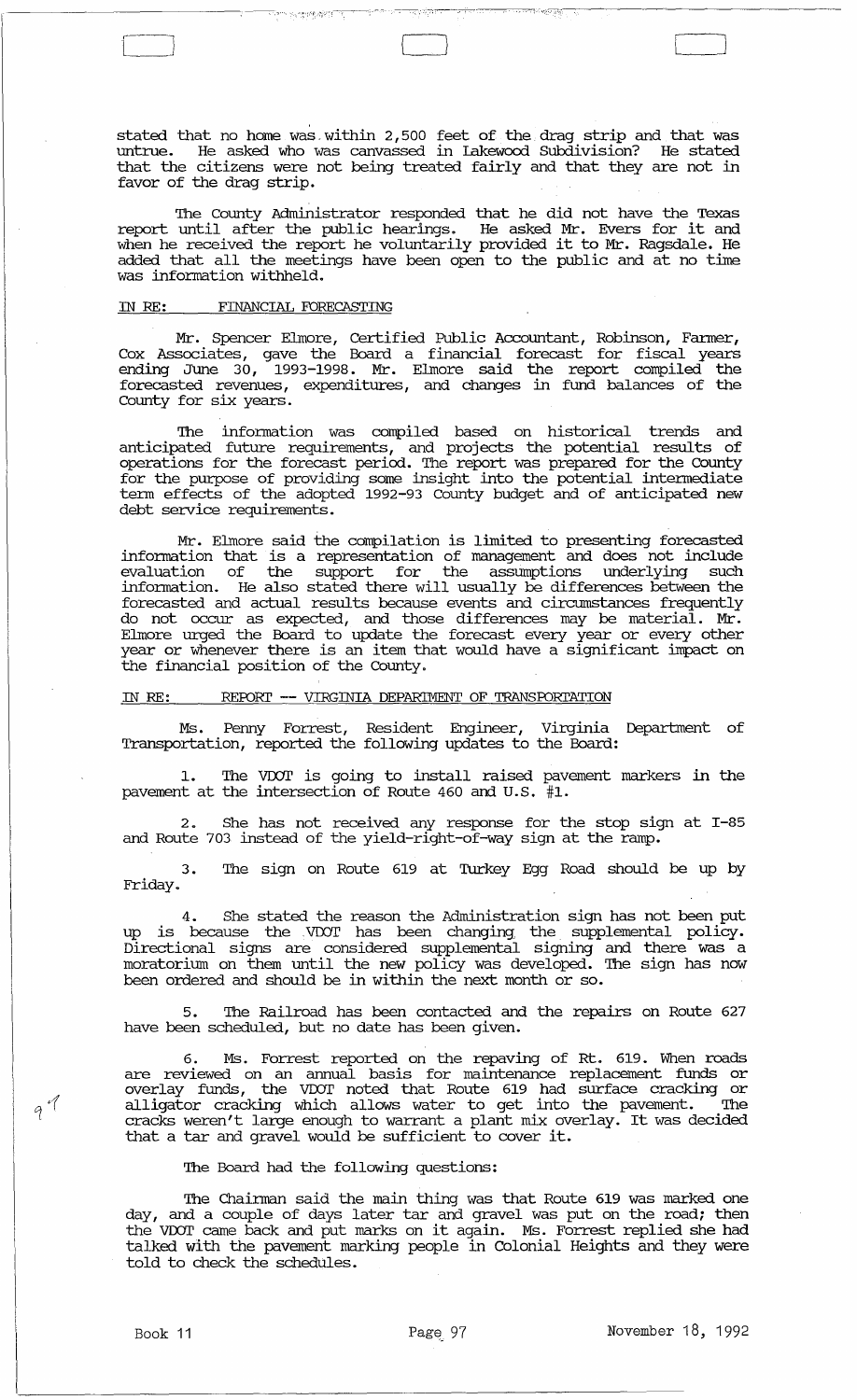stated that no home was. within 2,500 feet of the drag strip and that was untrue. He asked who was canvassed in Lakewood Subdivision? He stated that the citizens were not being treated fairly and that they are not in favor of the drag strip.

..........

১২১, শুরু পুরুষ সম্পূর্ণ হয়।

 $\Box$ 

The County Administrator responded that he did not have the Texas report until after the public hearings. He asked Mr. Evers for it and when he received the report he voluntarily provided it to Mr. Ragsdale. He added that all the meetings have been open to the public and at no time was information withheld.

#### IN RE: FINANCIAL FORECASTING

Mr. Spencer Elmore, Certified Public Accountant, Robinson, Farmer, Cox Associates, gave the Board a financial forecast for fiscal years ending June 30, 1993-1998. Mr. Elmore said the report compiled the forecasted revenues, expenditures, and changes in fund balances of the County for six years.

The information was compiled based on historical trends and anticipated future requirements, and projects the potential results of operations for the forecast period. The report was prepared for the County for the purpose of providing some insight into the potential intennediate tenn effects of the adopted 1992-93 County budget and of anticipated new debt service requirements.

Mr. Elmore said the compilation is limited to presenting forecasted information that is a representation of management and does not include evaluation of the support for the assumptions underlying such information. He also stated there will usually be differences between the forecasted and actual results because events and circumstances frequently do not occur as expected, and those differences may be material. Mr. Elmore urged the Board to update the forecast every year or every other year or whenever there is an item that would have a significant impact on the financial position of the county.

# IN RE: REPORT -- VIRGINIA DEPARTMENT OF TRANSFORTATION

MS. Penny Forrest, Resident Engineer, Virginia Department of Transportation, reported the following updates to the Board:

1. The VDOT is going to install raised pavement markers in the pavement at the intersection of Route 460 and U.S. #1.

2. She has not received any response for the stop sign at I-85 and Route 703 instead of the yield-right-of-way sign at the ramp.

3. The sign on Route 619 at Turkey Egg Road should be up by Friday.

4. She stated the reason the Administration sign has not been put up is because the VDOT has been changing the supplemental policy. Directional signs are considered supplemental signing and there was a moratorium on them until the new policy was developed. The sign has now been ordered and should be in within the next month or so.

5. The Railroad has been contacted and the repairs on Route 627 have been scheduled, but no date has been given.

6. Ms. Forrest reported on the repaving of Rt. 619. When roads are reviewed on an annual basis for maintenance replacement funds or overlay funds, the VIDI' noted that Route 619 had surface cracking or alligator cracking which allows water to get into the pavement. The cracks weren't large enough to warrant a plant mix overlay. It was decided that a tar and gravel would be sufficient to cover it.

## The Board had the following questions:

The Chairman said the main thing was that Route 619 was marked one day, and a couple of days later tar and gravel was put on the road; then the VDOT came back and put marks on it again. Ms. Forrest replied she had talked with the pavement marking people in Colonial Heights and they were told to check the schedules.

 $9<sup>1</sup>$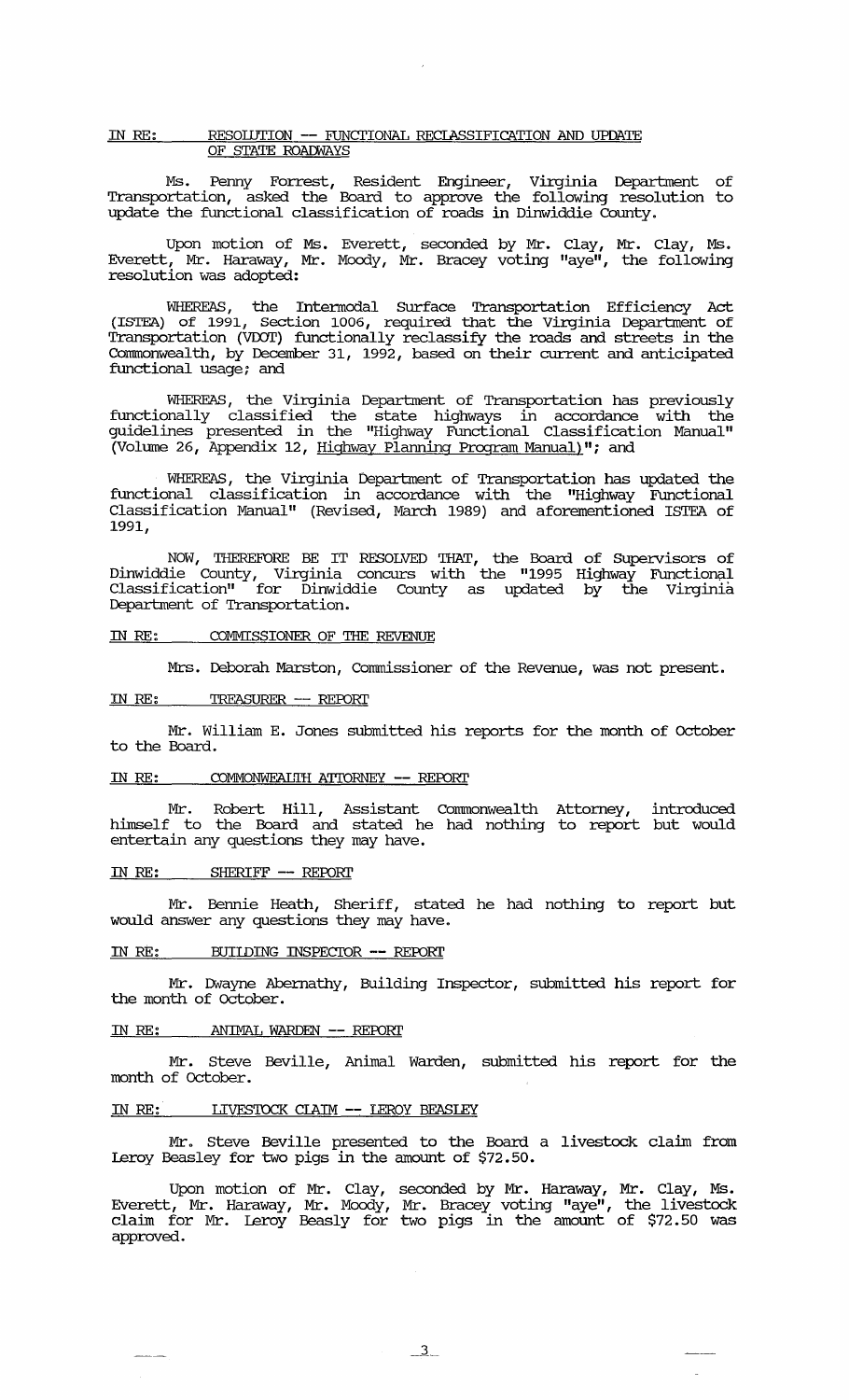#### IN RE: RESOLUTION -- FUNCTIONAL RECLASSIFICATION AND UPDATE OF STATE ROADWAYS

Ms. Penny Forrest, Resident Engineer, Virginia Department of Transportation, asked the Board to approve the following resolution to update the functional classification of roads in Dinwiddie County.

Upon motion of Ms. Everett, seconded by Mr. Clay, Mr. Clay, Ms. Everett, Mr. Haraway, Mr. Moody, Mr. Bracey voting "aye", the following resolution was adopted:

WHEREAS, the rntermodal Surface Transportation Efficiency Act (ISTEA) of 1991, section 1006, required that the Virginia Department of Transportation (VDOr) functionally reclassify the roads and streets in the Commonwealth, by December 31, 1992, based on their current and anticipated functional usage; and

WHEREAS, the Virginia Department of Transportation has previously functionally classified the state highways in accordance with the guidelines presented in the "Highway Functional Classification Manual" (Volume 26, Appendix 12, Highway Planning Program Manual)"; and

WHEREAS, the Virginia Department of Transportation has updated the functional classification in accordance with the "Highway Functional Classification Manual" (Revised, March 1989) and aforementioned ISTEA of 1991,

NOW, THEREFORE BE IT RESOLVED THAT, the Board of Supervisors of Dinwiddie County, Virginia concurs with the "1995 Highway Functional Classification" for Dinwiddie County as updated by the Virginia Department of Transportation.

## IN RE: COMMISSIONER OF THE REVENUE

Mrs. Deborah Marston, Commissioner of the Revenue, was not present.

# IN RE: TREASURER -- REPORT

Mr. William E. Jones submitted his reports for the month of october to the Board.

#### IN RE: COMMONWEALTH ATTORNEY -- REPORT

Mr. Robert Hill, Assistant Commonwealth Attorney, introduced himself to the Board and stated he had nothing to report but would entertain any questions they may have.

## IN RE: SHERIFF -- REPORI'

Mr. Bennie Heath, Sheriff, stated he had nothing to report but would answer any questions they may have.

## IN RE: BUILDING INSPECTOR -- REPORT

Mr. Dwayne Abernathy, Building Inspector, submitted his report for the month of october.

#### IN RE: ANIMAL WARDEN -- REPORT

Mr. Steve Beville, Animal Warden, submitted his report for the month of october.

# IN RE: LIVESTOCK CIAIM -- LEROY BEASLEY

Mr. Steve Beville presented to the Board a livestock claim from leroy Beasley for two pigs in the amount of \$72.50.

Upon motion of Mr. Clay, seconded by Mr. Haraway, Mr. Clay, Ms. Everett, Mr. Haraway, Mr. Moody, Mr. Bracey voting "aye", the livestock claim for Mr. Leroy Beasly for two pigs in the amount of \$72.50 was approved.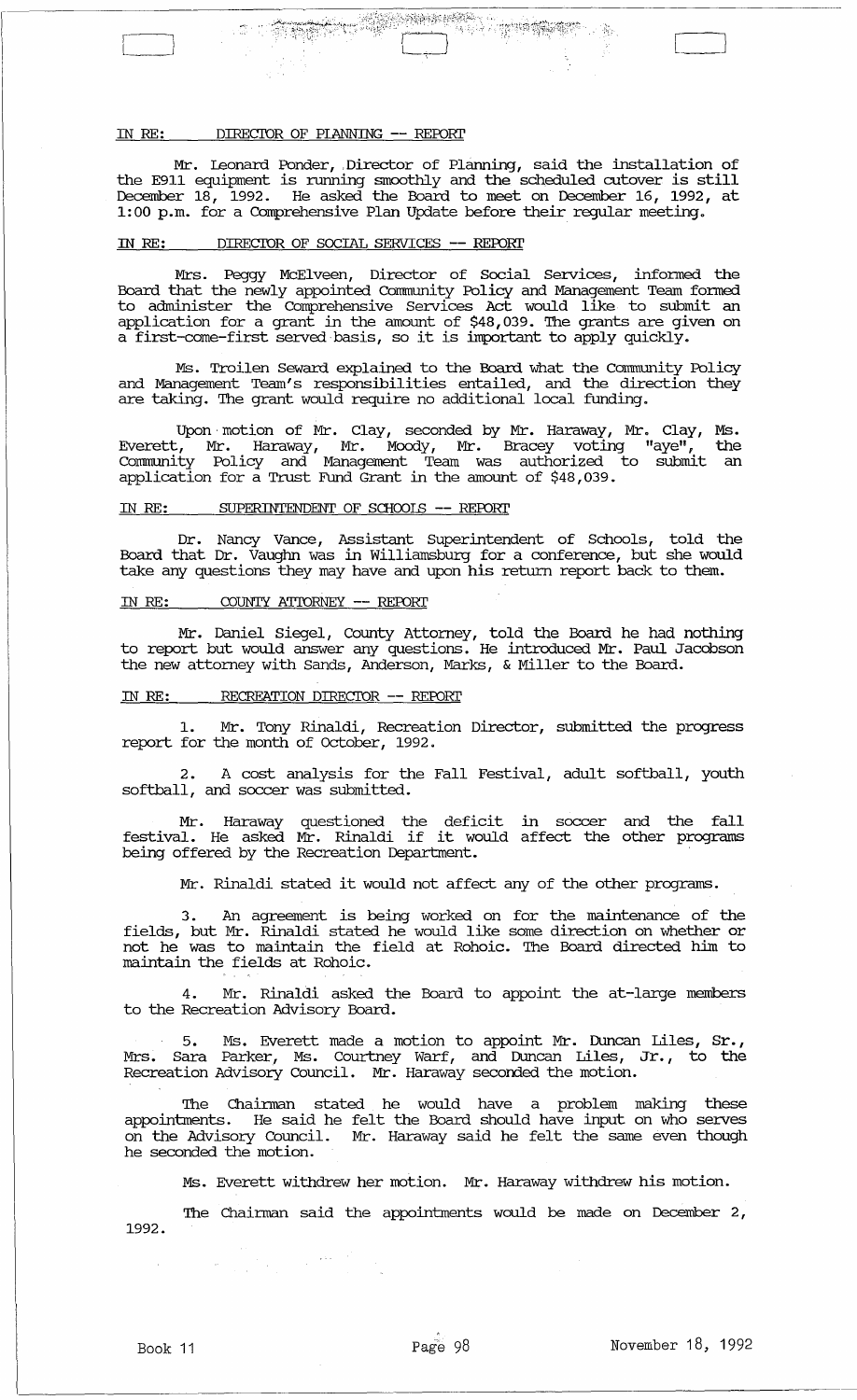# IN RE: DIRECIOR OF PIANNING **--** REPORT'

Mr. Leonard Ponder, Director of Planning, said the installation of the E911 equipment is running smoothly and the scheduled cutover is still December 18, 1992. He asked the Board to meet on December 16, 1992, at 1:00 p.m. for a Comprehensive Plan Update before their regular meeting.

 $\frac{1}{2}$  ,  $\frac{1}{2}$   $\frac{1}{2}$   $\frac{1}{2}$   $\frac{1}{2}$   $\frac{1}{2}$   $\frac{1}{2}$   $\frac{1}{2}$   $\frac{1}{2}$   $\frac{1}{2}$   $\frac{1}{2}$   $\frac{1}{2}$   $\frac{1}{2}$   $\frac{1}{2}$   $\frac{1}{2}$   $\frac{1}{2}$   $\frac{1}{2}$   $\frac{1}{2}$   $\frac{1}{2}$   $\frac{1}{2}$   $\frac{1}{2}$   $\frac{1}{2}$ 

### IN RE: DIRECIOR OF SOCIAL SERVICES **--** REPORT'

Mrs. Peggy McElveen, Director of Social Services, informed the Board that the newly appointed Community Policy and Management Team formed to administer the comprehensive Services Act would like to submit an application for a grant in the amount of \$48,039. The grants are given on<br>a first-come-first served basis, so it is important to apply quickly.

Ms. Troilen Seward explained to the Board what the community Policy and Management Team's responsibilities entailed, and the direction they are taking. The grant would require no additional local funding.

Upon' motion of Mr. Clay, seconded by Mr. Haraway, Mr. Clay, Ms. Everett, Mr. Haraway, Mr. Moody, Mr. Bracey voting "aye", the Community Policy and Management Team was authorized to submit an application for a Trust Fund Grant in the amount of \$48,039.

#### IN RE: SUPERINTENDENT OF SCHOOLS **--** REPORT'

Dr. Nancy Vance, Assistant Superintendent of Schools, told the Board that Dr. Vaughn was in Williamsburg for a conference, but she would take any questions they may have and upon his return report back to them.

#### IN RE: COUNTY ATIDRNEY **--** REPORT

Mr. Daniel Siegel, County Attorney, told the Board he had nothing to report but would answer any questions. He introduced Mr. Paul Jacobson the new attorney with Sands, Anderson, Marks, & Miller to the Board.

#### IN RE: RECREATION DIRECIOR **--** REPORT'

1. Mr. Tony Rinaldi, Recreation Director, submitted the progress report for the month of october, 1992.

2. A cost analysis for the Fall Festival, adult softball, youth softball, and soccer was submitted.

Mr. Haraway questioned the deficit in soccer and the fall festival. He asked Mr. Rinaldi if it would affect the other programs being offered by the Recreation Department.

Mr. Rinaldi stated it would not affect any of the other programs.

3. An agreement is being worked on for the maintenance of the fields, but Mr. Rinaldi stated he would like some direction on whether or not he was to maintain the field at Rohoic. '!he Board directed him to maintain the fields at Rohoic.

4. Mr. Rinaldi asked the Board to appoint the at-large members to the Recreation Advisory Board.

5. Ms. Everett made a motion to appoint Mr. Duncan Liles, Sr., Mrs. Sara Parker, Ms. Courtney Warf, and Duncan Liles, Jr., to the Recreation Advisory Council. Mr. Haraway seconded the motion.

The Chairman stated he would have a problem making these appointments. He said he felt the Board should have input on who serves on the Advisory Council. Mr. Haraway said he felt the same even though he seconded the motion.

Ms. Everett withdrew her motion. Mr. Haraway withdrew his motion.

The Chairman said the appointments would be made on December 2, 1992.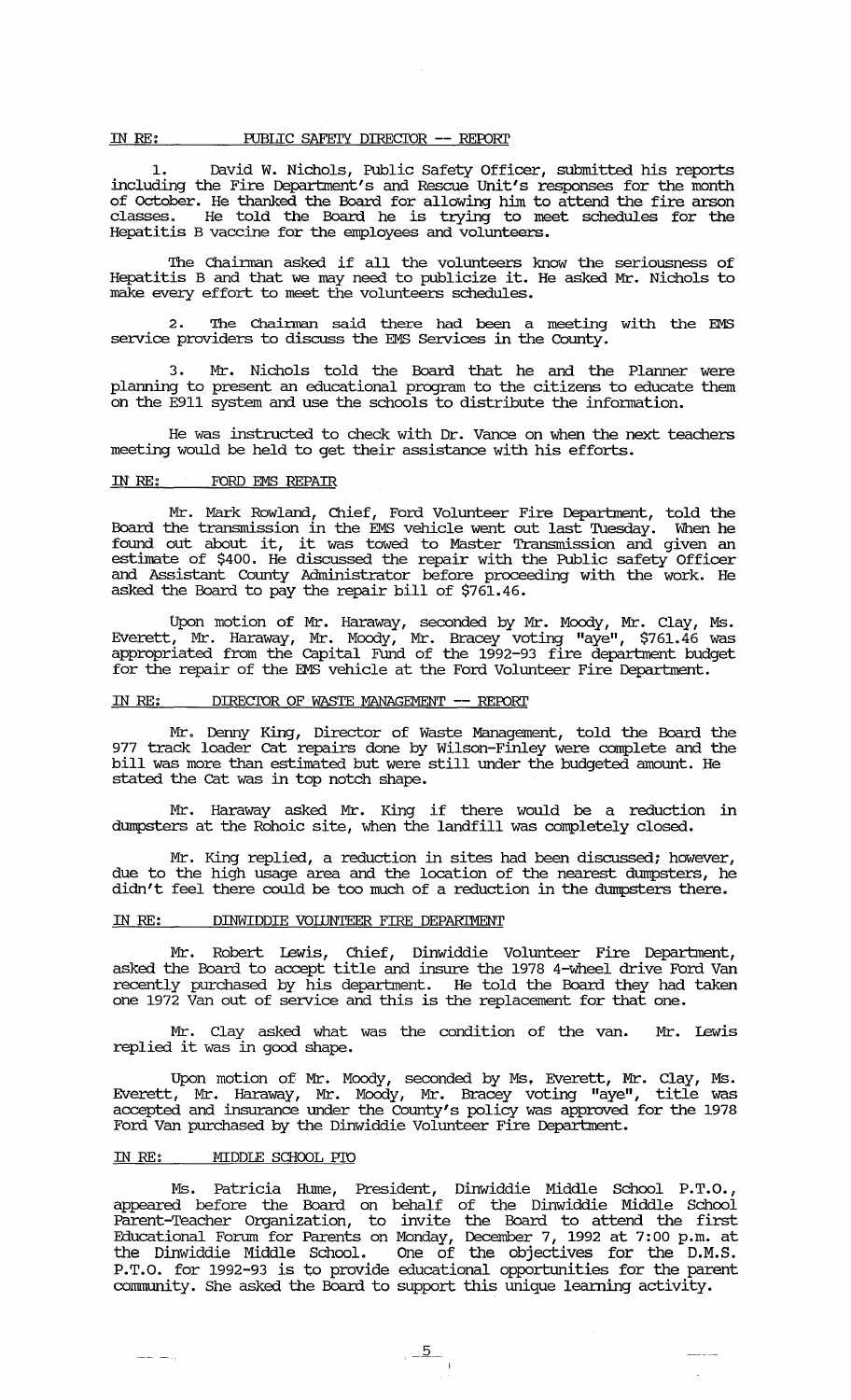1. David W. Nichols, Public Safety Officer, submitted his reports including the Fire Department's and Rescue Unit's responses for the month of October. He thanked the Board for allowing him to attend the fire arson classes. He told the Board he is trying to meet schedules for the Hepatitis B vaccine for the employees and volunteers.

The Chairman asked if all the volunteers know the seriousness of Hepatitis B and that we may need to publicize it. He asked Mr. Nichols to make every effort to meet the volunteers schedules.

2. 'Ihe Chairman said there had been a meeting with the EMS service providers to discuss the EMS services in the County.

Mr. Nichols told the Board that he and the Planner were planning to present an educational program to the citizens to educate them on the E911 system and use the schools to distribute the infonnation.

He was instructed to check with Dr. Vance on when the next teachers meeting would be held to get their assistance with his efforts.

## IN RE: FORD EMS REPAIR

Mr. Mark Rowland, Chief, Ford Volunteer Fire Department, told the Board the transmission in the EMS vehicle went out last Tuesday. When he found out about it, it was towed to Master Transmission and given an estimate of \$400. He discussed the repair with the Public safety Officer and Assistant County Administrator before proceeding with the work. He asked the Board to pay the repair bill of \$761.46.

Upon motion of Mr. Haraway, seconded by Mr. Moody, Mr. Clay, Ms. Everett, Mr. Haraway, Mr. Moody, Mr. Bracey voting "aye", \$761.46 was appropriated from the capital Fund of the 1992-93 fire department budget for the repair of the EMS vehicle at the Ford Volunteer Fire Department.

# IN *RE:* DIRECIOR OF WASTE MANAGEMENT **--** REIDRl'

Mr. Denny King, Director of Waste Management, told the Board the 977 track loader cat repairs done by Wilson-Finley were complete and the bill was more than estimated but were still under the budgeted amount. He stated the cat was in top notch shape.

Mr. Haraway asked Mr. King if there would be a reduction in dumpsters at the Rohoic site, when the landfill was completely closed.

Mr. King replied, a reduction in sites had been discussed; however, due to the high usage area and the location of the nearest dumpsters, he didn't feel there could be too much of a reduction in the dumpsters there.

# IN *RE:* DINWIDDIE VOlUNTEER FIRE DEPARTMENT

Mr. Robert Lewis, Chief, Dinwiddie Volunteer Fire Department, asked the Board to accept title and insure the 1978 4-wheel drive Ford Van recently purchased by his department. He told the Board they had taken one 1972 Van out of service and this is the replacement for that one.

Mr. Clay asked what was the condition of the van. replied it was in good shape. Mr. lewis

Upon motion of Mr. Moody, seconded by Ms. Everett, Mr. Clay, Ms. Everett, Mr. Haraway, Mr. Moody, Mr. Bracey voting "aye" , title was accepted and insurance under the County's policy was approved for the 1978 Ford Van purchased by the Dinwiddie Volunteer Fire Department.

#### IN *RE:* MIDDLE SCHOOL pro

Ms. Patricia Hume, President, Dinwiddie Middle School P.T.O., appeared before the Board on behalf of the Dinwiddie Middle School Parent-Teacher Organization, to invite the Board to attend the first Educational Forum for Parents on Monday, December 7, 1992 at 7:00 p.m. at the Dinwiddie Middle School. One of the objectives for the D.M.S. P.T.O. for 1992-93 is to provide educational opportunities for the parent connnunity. She asked the Board to support this unique learning activity .

and the company of the company of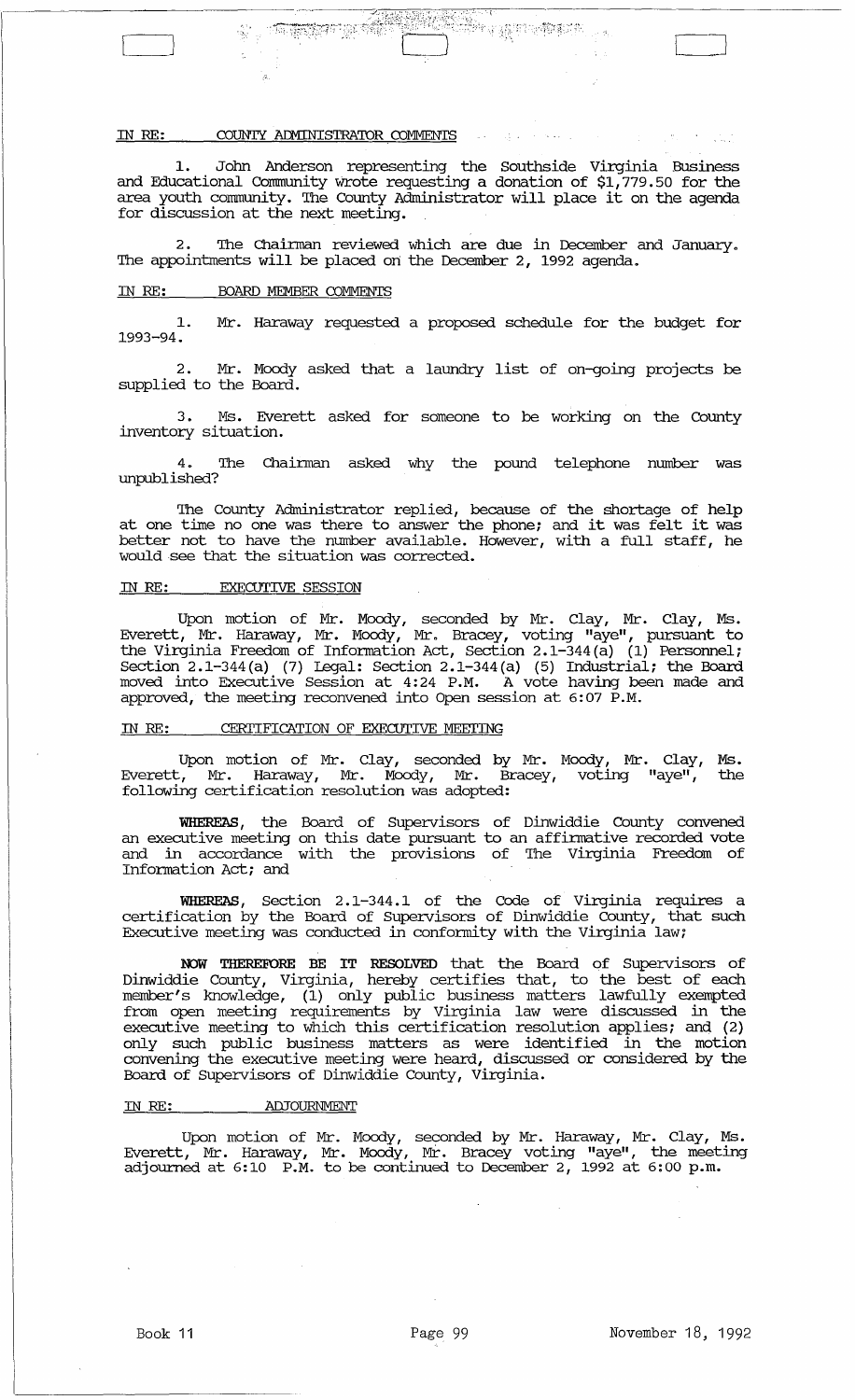# IN RE: COUNTY ADMINISTRATOR COMMENTS

1. John Anderson representing the Southside Virginia Business and Educational Community Wrote requesting a donation of \$1,779.50 for the area youth community. The County Administrator will place it on the agenda for discussion at the next meeting.

 $\sim 10^{11}$ 

**Service** 

TERRAT DES LE LE CONTRADORATA

2. The Chairman reviewed which are due in December and January. The appointments will be placed on the December 2, 1992 agenda.

#### IN *RE:*  OOARD MEMBER COMMENTS

 $\begin{bmatrix} 1 & 1 \\ 1 & 1 \end{bmatrix}$ 

1. 1993-94. Mr. Haraway requested a proposed schedule for the budget for

2. Mr. Moody asked that a laundry list of on-going projects be supplied to the Board.

3. Ms. Everett asked for someone to be working on the County inventory situation.

4. The Chainnan asked why the pound telephone number was unpublished?

The County Administrator replied, because of the shortage of help at one time no one was there to answer the phone; and it was felt it was better not to have the number available. However, with a full staff, he would see that the situation was corrected.

## IN *RE:* EXECUTIVE SESSION

Upon motion of Mr. Moody, seconded by Mr. clay, Mr. Clay, Ms. Everett, Mr. Haraway, Mr. Moody, Mr. Bracey, voting "aye", pursuant to the Virginia Freedom of Infonnation Act, section 2.1-344(a) (1) Personnel; section 2.1-344(a) (7) Legal: Section 2.1-344(a) (5) Industrial; the Board moved into Executive Session at 4:24 P.M. A vote having been made and approved, the meeting reconvened into Open session at 6:07 P.M.

# IN RE: CERTIFICATION OF EXECUTIVE MEETING

Upon motion of Mr. Clay, seconded by Mr. Moody, Mr. Clay, Ms. Everett, Mr. Haraway, Mr. Moody, Mr. Bracey, voting "aye" , the following certification resolution was adopted:

WHEREAS, the Board of supervisors of Dinwiddie County convened an executive meeting on this date pursuant to an affirmative recorded vote and in accordance with the provisions of The Virginia Freedom of Information Act; and

WHEREAS, section 2.1-344.1 of the Code of Virginia requires a certification by the Board of supervisors of Dinwiddie County, that such Executive meeting was conducted in conformity with the Virginia law;

**mw THEREFORE BE IT RESOLVED** that the Board of Supervisors of Dinwiddie County, Virginia, hereby certifies that, to the best of each member's knowledge, (1) only public business matters lawfully exempted from open meeting requirements by Virginia law were discussed in the executive meeting to which this certification resolution applies; and (2) only such public business matters as were identified in the motion convening the executive meeting were heard, discussed or considered by the Board of supervisors of Dinwiddie County, Virginia.

#### IN *RE:* AWOURNMENT

Upon motion of Mr. Moody, seconded by Mr. Haraway, Mr. Clay, Ms. Everett, Mr. Haraway, Mr. Moody, Mr. Bracey voting "aye", the meeting adjourned at 6:10 P.M. to be continued to December 2, 1992 at 6:00 p.m.